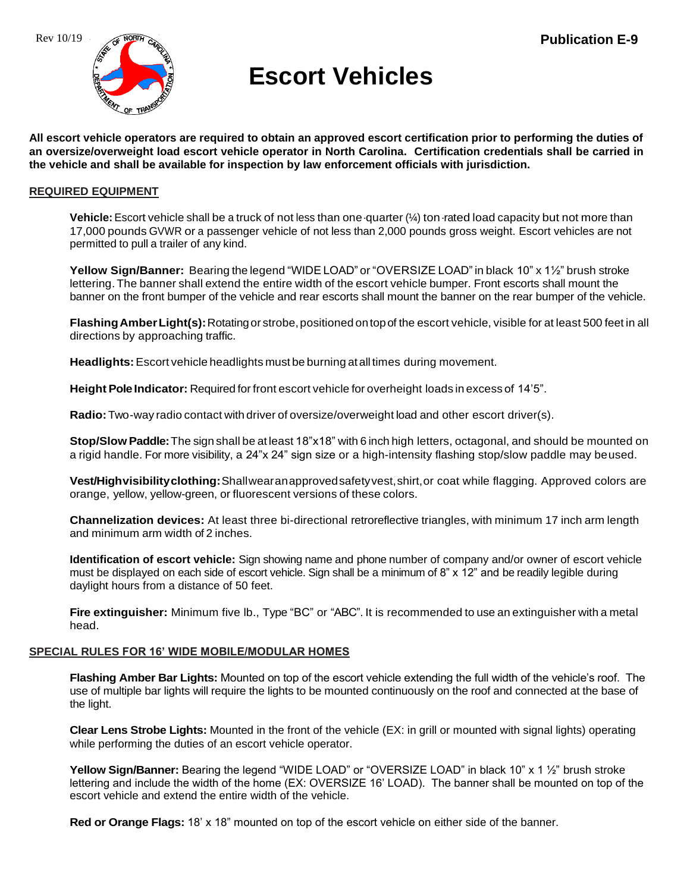

# **Escort Vehicles**

**All escort vehicle operators are required to obtain an approved escort certification prior to performing the duties of an oversize/overweight load escort vehicle operator in North Carolina. Certification credentials shall be carried in the vehicle and shall be available for inspection by law enforcement officials with jurisdiction.**

### **REQUIRED EQUIPMENT**

**Vehicle:** Escort vehicle shall be a truck of not less than one quarter (¼) ton rated load capacity but not more than 17,000 pounds GVWR or a passenger vehicle of not less than 2,000 pounds gross weight. Escort vehicles are not permitted to pull a trailer of any kind.

**Yellow Sign/Banner:** Bearing the legend "WIDE LOAD" or "OVERSIZE LOAD" in black 10" x 1½" brush stroke lettering. The banner shall extend the entire width of the escort vehicle bumper. Front escorts shall mount the banner on the front bumper of the vehicle and rear escorts shall mount the banner on the rear bumper of the vehicle.

**Flashing Amber Light(s):** Rotating or strobe, positioned on top of the escort vehicle, visible for at least 500 feet in all directions by approaching traffic.

**Headlights:**Escort vehicle headlights must be burning at all times during movement.

Height Pole Indicator: Required for front escort vehicle for overheight loads in excess of 14'5".

**Radio:**Two-way radio contact with driver of oversize/overweight load and other escort driver(s).

**Stop/Slow Paddle:**The sign shall be at least 18"x18" with 6 inch high letters, octagonal, and should be mounted on a rigid handle. For more visibility, a 24"x 24" sign size or a high-intensity flashing stop/slow paddle may beused.

**Vest/Highvisibilityclothing:**Shallwearanapprovedsafetyvest,shirt,or coat while flagging. Approved colors are orange, yellow, yellow-green, or fluorescent versions of these colors.

**Channelization devices:** At least three bi-directional retroreflective triangles, with minimum 17 inch arm length and minimum arm width of 2 inches.

**Identification of escort vehicle:** Sign showing name and phone number of company and/or owner of escort vehicle must be displayed on each side of escort vehicle. Sign shall be a minimum of 8" x 12" and be readily legible during daylight hours from a distance of 50 feet.

**Fire extinguisher:** Minimum five lb., Type "BC" or "ABC". It is recommended to use an extinguisher with a metal head.

#### **SPECIAL RULES FOR 16' WIDE MOBILE/MODULAR HOMES**

**Flashing Amber Bar Lights:** Mounted on top of the escort vehicle extending the full width of the vehicle's roof. The use of multiple bar lights will require the lights to be mounted continuously on the roof and connected at the base of the light.

**Clear Lens Strobe Lights:** Mounted in the front of the vehicle (EX: in grill or mounted with signal lights) operating while performing the duties of an escort vehicle operator.

**Yellow Sign/Banner:** Bearing the legend "WIDE LOAD" or "OVERSIZE LOAD" in black 10" x 1 ½" brush stroke lettering and include the width of the home (EX: OVERSIZE 16' LOAD). The banner shall be mounted on top of the escort vehicle and extend the entire width of the vehicle.

**Red or Orange Flags:** 18' x 18" mounted on top of the escort vehicle on either side of the banner.